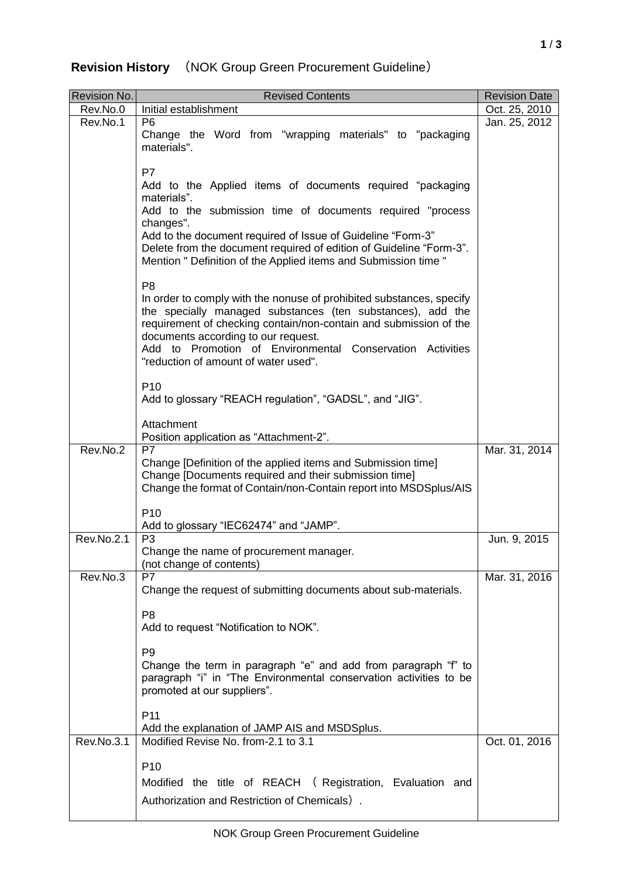## **Revision History** (NOK Group Green Procurement Guideline)

| <b>Revision No.</b> | <b>Revised Contents</b>                                                                                                                                                                                                                                                                                                                                               | <b>Revision Date</b> |
|---------------------|-----------------------------------------------------------------------------------------------------------------------------------------------------------------------------------------------------------------------------------------------------------------------------------------------------------------------------------------------------------------------|----------------------|
| Rev.No.0            | Initial establishment                                                                                                                                                                                                                                                                                                                                                 | Oct. 25, 2010        |
| Rev.No.1            | P <sub>6</sub><br>Change the Word from "wrapping materials" to "packaging<br>materials".                                                                                                                                                                                                                                                                              | Jan. 25, 2012        |
|                     | P7<br>Add to the Applied items of documents required "packaging<br>materials".<br>Add to the submission time of documents required "process<br>changes".<br>Add to the document required of Issue of Guideline "Form-3"<br>Delete from the document required of edition of Guideline "Form-3".<br>Mention " Definition of the Applied items and Submission time "     |                      |
|                     | P <sub>8</sub><br>In order to comply with the nonuse of prohibited substances, specify<br>the specially managed substances (ten substances), add the<br>requirement of checking contain/non-contain and submission of the<br>documents according to our request.<br>Add to Promotion of Environmental Conservation Activities<br>"reduction of amount of water used". |                      |
|                     | P <sub>10</sub><br>Add to glossary "REACH regulation", "GADSL", and "JIG".                                                                                                                                                                                                                                                                                            |                      |
|                     | Attachment<br>Position application as "Attachment-2".                                                                                                                                                                                                                                                                                                                 |                      |
| Rev.No.2            | <b>P7</b><br>Change [Definition of the applied items and Submission time]<br>Change [Documents required and their submission time]<br>Change the format of Contain/non-Contain report into MSDSplus/AIS                                                                                                                                                               | Mar. 31, 2014        |
|                     | P <sub>10</sub><br>Add to glossary "IEC62474" and "JAMP".                                                                                                                                                                                                                                                                                                             |                      |
| Rev.No.2.1          | P <sub>3</sub><br>Change the name of procurement manager.<br>(not change of contents)                                                                                                                                                                                                                                                                                 | Jun. 9, 2015         |
| Rev.No.3            | P7<br>Change the request of submitting documents about sub-materials.                                                                                                                                                                                                                                                                                                 | Mar. 31, 2016        |
|                     | P <sub>8</sub><br>Add to request "Notification to NOK".                                                                                                                                                                                                                                                                                                               |                      |
|                     | P <sub>9</sub><br>Change the term in paragraph "e" and add from paragraph "f" to<br>paragraph "i" in "The Environmental conservation activities to be<br>promoted at our suppliers".                                                                                                                                                                                  |                      |
|                     | P <sub>11</sub><br>Add the explanation of JAMP AIS and MSDSplus.                                                                                                                                                                                                                                                                                                      |                      |
| <b>Rev.No.3.1</b>   | Modified Revise No. from-2.1 to 3.1                                                                                                                                                                                                                                                                                                                                   | Oct. 01, 2016        |
|                     | P <sub>10</sub>                                                                                                                                                                                                                                                                                                                                                       |                      |
|                     | Modified the title of REACH (Registration, Evaluation and                                                                                                                                                                                                                                                                                                             |                      |
|                     | Authorization and Restriction of Chemicals).                                                                                                                                                                                                                                                                                                                          |                      |
|                     |                                                                                                                                                                                                                                                                                                                                                                       |                      |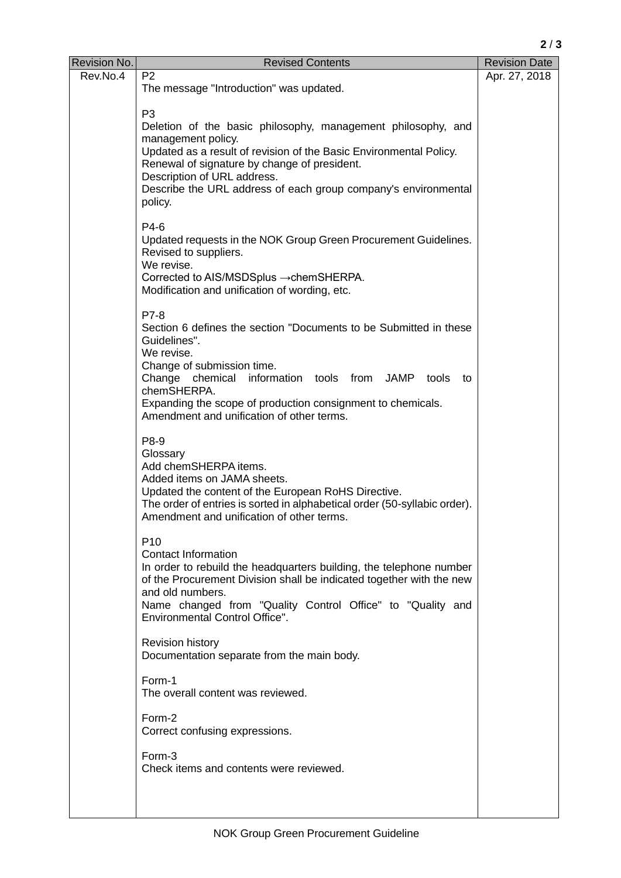**2** / **3**

| Revision No. | <b>Revised Contents</b>                                                   | <b>Revision Date</b> |
|--------------|---------------------------------------------------------------------------|----------------------|
| Rev.No.4     | P <sub>2</sub>                                                            | Apr. 27, 2018        |
|              | The message "Introduction" was updated.                                   |                      |
|              |                                                                           |                      |
|              | P <sub>3</sub>                                                            |                      |
|              | Deletion of the basic philosophy, management philosophy, and              |                      |
|              | management policy.                                                        |                      |
|              | Updated as a result of revision of the Basic Environmental Policy.        |                      |
|              | Renewal of signature by change of president.                              |                      |
|              | Description of URL address.                                               |                      |
|              | Describe the URL address of each group company's environmental<br>policy. |                      |
|              |                                                                           |                      |
|              | $P4-6$                                                                    |                      |
|              | Updated requests in the NOK Group Green Procurement Guidelines.           |                      |
|              | Revised to suppliers.                                                     |                      |
|              | We revise.                                                                |                      |
|              | Corrected to AIS/MSDSplus → chemSHERPA.                                   |                      |
|              | Modification and unification of wording, etc.                             |                      |
|              |                                                                           |                      |
|              | P7-8                                                                      |                      |
|              | Section 6 defines the section "Documents to be Submitted in these         |                      |
|              | Guidelines".                                                              |                      |
|              | We revise.                                                                |                      |
|              | Change of submission time.<br>information tools from                      |                      |
|              | Change chemical<br>JAMP<br>tools<br>to<br>chemSHERPA.                     |                      |
|              | Expanding the scope of production consignment to chemicals.               |                      |
|              | Amendment and unification of other terms.                                 |                      |
|              |                                                                           |                      |
|              | P8-9                                                                      |                      |
|              | Glossary                                                                  |                      |
|              | Add chemSHERPA items.                                                     |                      |
|              | Added items on JAMA sheets.                                               |                      |
|              | Updated the content of the European RoHS Directive.                       |                      |
|              | The order of entries is sorted in alphabetical order (50-syllabic order). |                      |
|              | Amendment and unification of other terms.                                 |                      |
|              | P <sub>10</sub>                                                           |                      |
|              | Contact Information                                                       |                      |
|              | In order to rebuild the headquarters building, the telephone number       |                      |
|              | of the Procurement Division shall be indicated together with the new      |                      |
|              | and old numbers.                                                          |                      |
|              | Name changed from "Quality Control Office" to "Quality and                |                      |
|              | Environmental Control Office".                                            |                      |
|              |                                                                           |                      |
|              | Revision history                                                          |                      |
|              | Documentation separate from the main body.                                |                      |
|              | Form-1                                                                    |                      |
|              | The overall content was reviewed.                                         |                      |
|              |                                                                           |                      |
|              | Form-2                                                                    |                      |
|              | Correct confusing expressions.                                            |                      |
|              |                                                                           |                      |
|              | Form-3<br>Check items and contents were reviewed.                         |                      |
|              |                                                                           |                      |
|              |                                                                           |                      |
|              |                                                                           |                      |